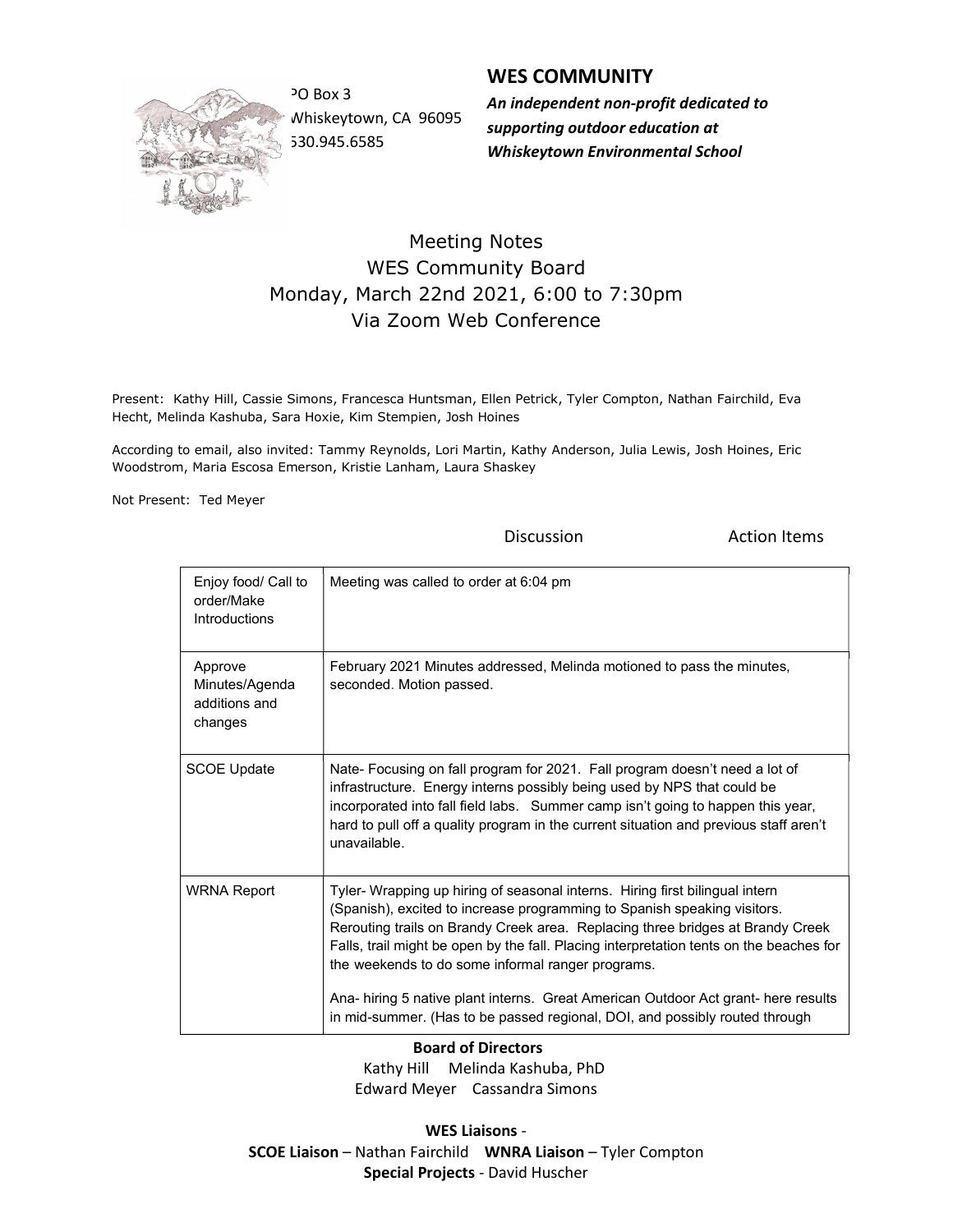

Whiskeytown, CA 96095 530.945.6585

## WES COMMUNITY

PO Box 3 **An independent non-profit dedicated to** supporting outdoor education at Whiskeytown Environmental School

## Meeting Notes WES Community Board Monday, March 22nd 2021, 6:00 to 7:30pm Via Zoom Web Conference

Present: Kathy Hill, Cassie Simons, Francesca Huntsman, Ellen Petrick, Tyler Compton, Nathan Fairchild, Eva Hecht, Melinda Kashuba, Sara Hoxie, Kim Stempien, Josh Hoines

According to email, also invited: Tammy Reynolds, Lori Martin, Kathy Anderson, Julia Lewis, Josh Hoines, Eric Woodstrom, Maria Escosa Emerson, Kristie Lanham, Laura Shaskey

Not Present: Ted Meyer

**Discussion Constanting Discussion Action Items** 

| Enjoy food/ Call to<br>order/Make<br>Introductions    | Meeting was called to order at 6:04 pm                                                                                                                                                                                                                                                                                                                                                     |
|-------------------------------------------------------|--------------------------------------------------------------------------------------------------------------------------------------------------------------------------------------------------------------------------------------------------------------------------------------------------------------------------------------------------------------------------------------------|
| Approve<br>Minutes/Agenda<br>additions and<br>changes | February 2021 Minutes addressed, Melinda motioned to pass the minutes,<br>seconded. Motion passed.                                                                                                                                                                                                                                                                                         |
| <b>SCOE Update</b>                                    | Nate- Focusing on fall program for 2021. Fall program doesn't need a lot of<br>infrastructure. Energy interns possibly being used by NPS that could be<br>incorporated into fall field labs. Summer camp isn't going to happen this year,<br>hard to pull off a quality program in the current situation and previous staff aren't<br>unavailable                                          |
| <b>WRNA Report</b>                                    | Tyler- Wrapping up hiring of seasonal interns. Hiring first bilingual intern<br>(Spanish), excited to increase programming to Spanish speaking visitors.<br>Rerouting trails on Brandy Creek area. Replacing three bridges at Brandy Creek<br>Falls, trail might be open by the fall. Placing interpretation tents on the beaches for<br>the weekends to do some informal ranger programs. |
|                                                       | Ana- hiring 5 native plant interns. Great American Outdoor Act grant- here results<br>in mid-summer. (Has to be passed regional, DOI, and possibly routed through                                                                                                                                                                                                                          |

 Board of Directors Kathy Hill Melinda Kashuba, PhD Edward Meyer Cassandra Simons

WES Liaisons - SCOE Liaison – Nathan Fairchild WNRA Liaison – Tyler Compton Special Projects - David Huscher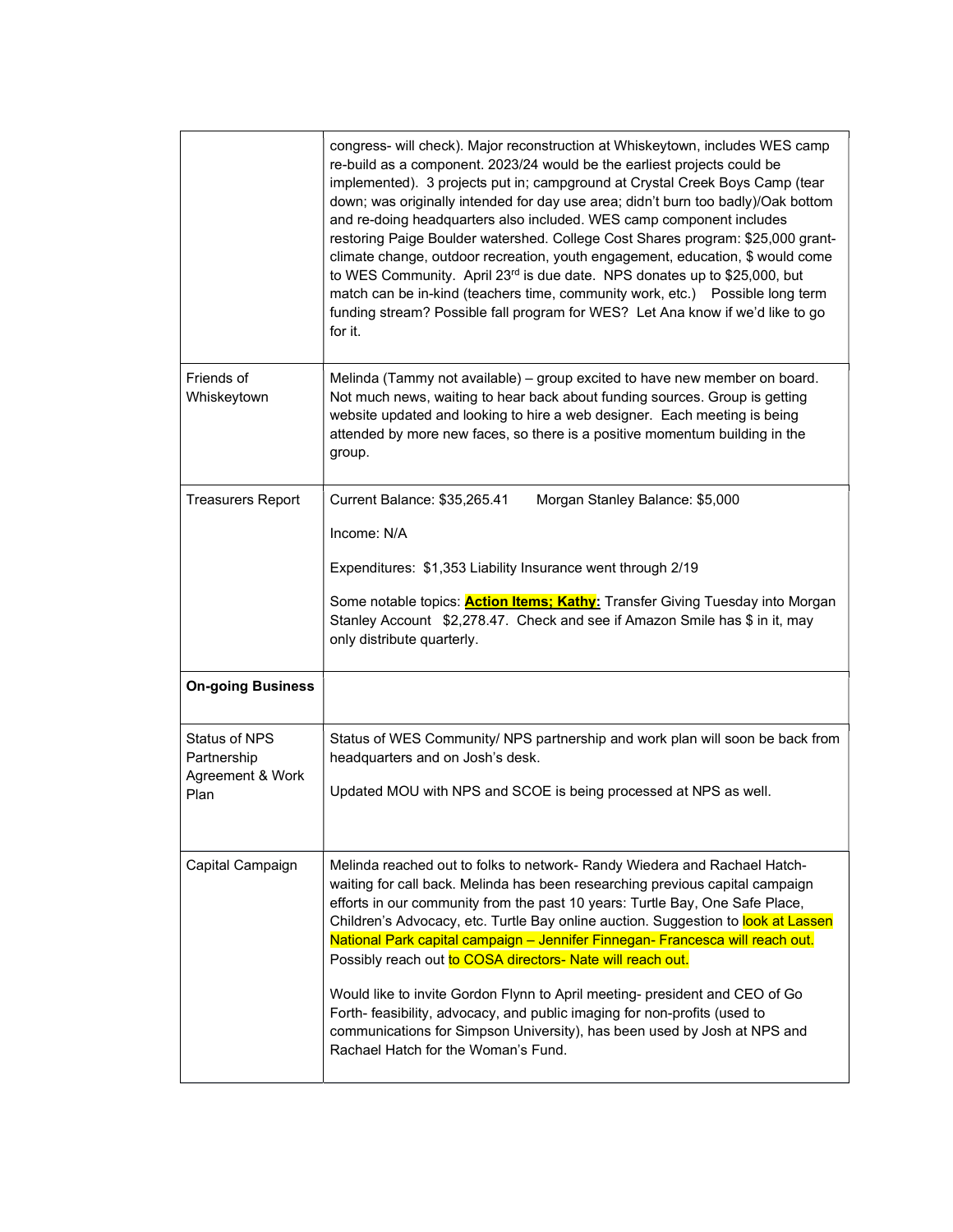|                                                                 | congress- will check). Major reconstruction at Whiskeytown, includes WES camp<br>re-build as a component. 2023/24 would be the earliest projects could be<br>implemented). 3 projects put in; campground at Crystal Creek Boys Camp (tear<br>down; was originally intended for day use area; didn't burn too badly)/Oak bottom<br>and re-doing headquarters also included. WES camp component includes<br>restoring Paige Boulder watershed. College Cost Shares program: \$25,000 grant-<br>climate change, outdoor recreation, youth engagement, education, \$ would come<br>to WES Community. April 23rd is due date. NPS donates up to \$25,000, but<br>match can be in-kind (teachers time, community work, etc.) Possible long term<br>funding stream? Possible fall program for WES? Let Ana know if we'd like to go<br>for it. |
|-----------------------------------------------------------------|----------------------------------------------------------------------------------------------------------------------------------------------------------------------------------------------------------------------------------------------------------------------------------------------------------------------------------------------------------------------------------------------------------------------------------------------------------------------------------------------------------------------------------------------------------------------------------------------------------------------------------------------------------------------------------------------------------------------------------------------------------------------------------------------------------------------------------------|
| Friends of<br>Whiskeytown                                       | Melinda (Tammy not available) – group excited to have new member on board.<br>Not much news, waiting to hear back about funding sources. Group is getting<br>website updated and looking to hire a web designer. Each meeting is being<br>attended by more new faces, so there is a positive momentum building in the<br>group.                                                                                                                                                                                                                                                                                                                                                                                                                                                                                                        |
| <b>Treasurers Report</b>                                        | Current Balance: \$35,265.41<br>Morgan Stanley Balance: \$5,000<br>Income: N/A<br>Expenditures: \$1,353 Liability Insurance went through 2/19<br>Some notable topics: <b>Action Items; Kathy:</b> Transfer Giving Tuesday into Morgan<br>Stanley Account \$2,278.47. Check and see if Amazon Smile has \$ in it, may<br>only distribute quarterly.                                                                                                                                                                                                                                                                                                                                                                                                                                                                                     |
| <b>On-going Business</b>                                        |                                                                                                                                                                                                                                                                                                                                                                                                                                                                                                                                                                                                                                                                                                                                                                                                                                        |
| <b>Status of NPS</b><br>Partnership<br>Agreement & Work<br>Plan | Status of WES Community/ NPS partnership and work plan will soon be back from<br>headquarters and on Josh's desk.<br>Updated MOU with NPS and SCOE is being processed at NPS as well.                                                                                                                                                                                                                                                                                                                                                                                                                                                                                                                                                                                                                                                  |
| Capital Campaign                                                | Melinda reached out to folks to network- Randy Wiedera and Rachael Hatch-<br>waiting for call back. Melinda has been researching previous capital campaign<br>efforts in our community from the past 10 years: Turtle Bay, One Safe Place,<br>Children's Advocacy, etc. Turtle Bay online auction. Suggestion to look at Lassen<br>National Park capital campaign - Jennifer Finnegan- Francesca will reach out.<br>Possibly reach out to COSA directors- Nate will reach out.<br>Would like to invite Gordon Flynn to April meeting- president and CEO of Go<br>Forth- feasibility, advocacy, and public imaging for non-profits (used to<br>communications for Simpson University), has been used by Josh at NPS and<br>Rachael Hatch for the Woman's Fund.                                                                          |